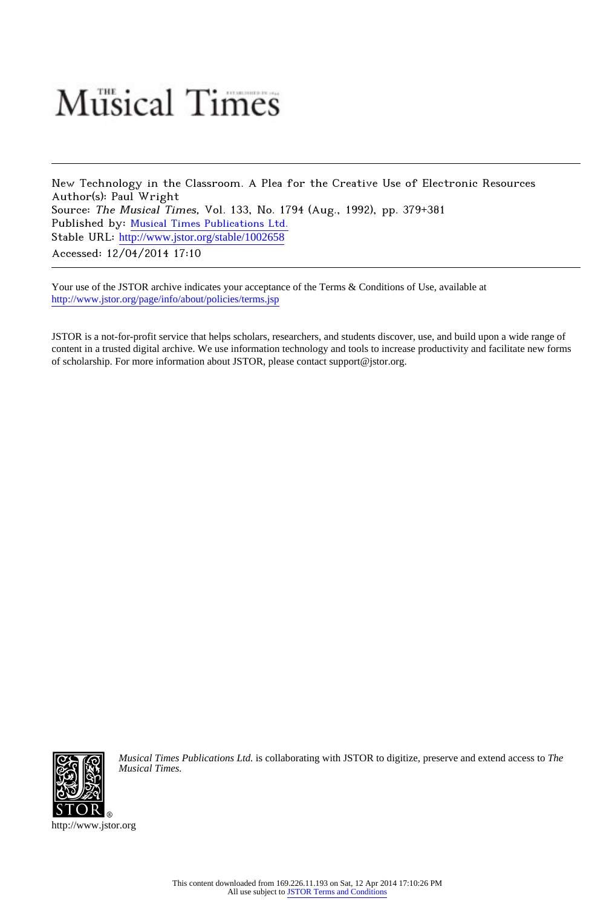## **Musical Times**

New Technology in the Classroom. A Plea for the Creative Use of Electronic Resources Author(s): Paul Wright Source: The Musical Times, Vol. 133, No. 1794 (Aug., 1992), pp. 379+381 Published by: [Musical Times Publications Ltd.](http://www.jstor.org/action/showPublisher?publisherCode=mtpl) Stable URL: [http://www.jstor.org/stable/1002658](http://www.jstor.org/stable/1002658?origin=JSTOR-pdf) Accessed: 12/04/2014 17:10

Your use of the JSTOR archive indicates your acceptance of the Terms & Conditions of Use, available at <http://www.jstor.org/page/info/about/policies/terms.jsp>

JSTOR is a not-for-profit service that helps scholars, researchers, and students discover, use, and build upon a wide range of content in a trusted digital archive. We use information technology and tools to increase productivity and facilitate new forms of scholarship. For more information about JSTOR, please contact support@jstor.org.



*Musical Times Publications Ltd.* is collaborating with JSTOR to digitize, preserve and extend access to *The Musical Times.*

http://www.jstor.org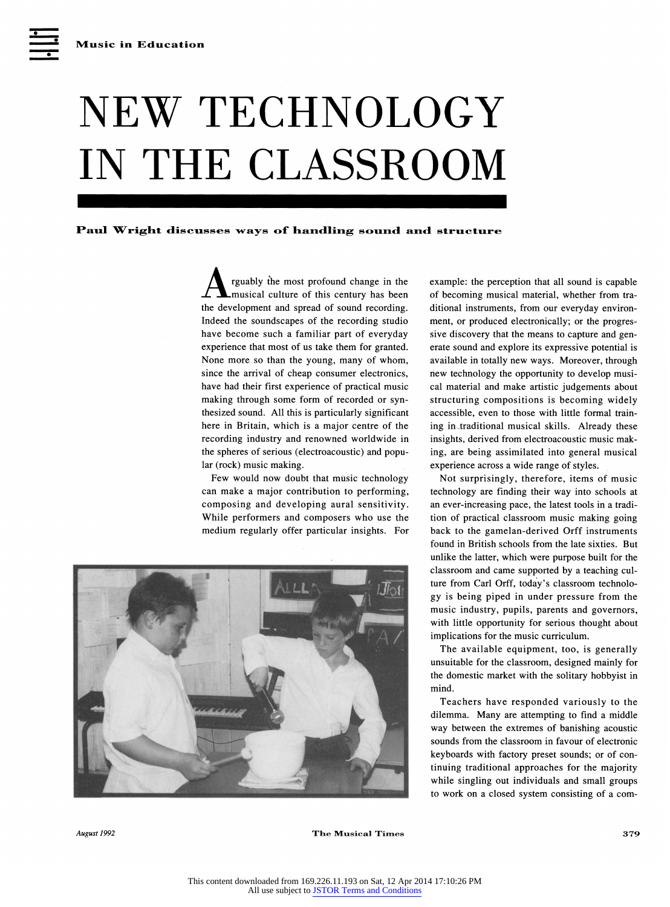## **NEW TECHNOLOGY IN THE CLASSROOM**

## Paul Wright discusses ways of handling sound and structure

**<sup>A</sup>rguably the most profound change in the musical culture of this century has been the development and spread of sound recording. Indeed the soundscapes of the recording studio have become such a familiar part of everyday experience that most of us take them for granted. None more so than the young, many of whom, since the arrival of cheap consumer electronics, have had their first experience of practical music making through some form of recorded or synthesized sound. All this is particularly significant here in Britain, which is a major centre of the recording industry and renowned worldwide in the spheres of serious (electroacoustic) and popular (rock) music making.** 

**Few would now doubt that music technology can make a major contribution to performing, composing and developing aural sensitivity. While performers and composers who use the medium regularly offer particular insights. For** 



**example: the perception that all sound is capable of becoming musical material, whether from traditional instruments, from our everyday environment, or produced electronically; or the progressive discovery that the means to capture and generate sound and explore its expressive potential is available in totally new ways. Moreover, through new technology the opportunity to develop musical material and make artistic judgements about structuring compositions is becoming widely accessible, even to those with little formal training in traditional musical skills. Already these insights, derived from electroacoustic music making, are being assimilated into general musical experience across a wide range of styles.** 

**Not surprisingly, therefore, items of music technology are finding their way into schools at an ever-increasing pace, the latest tools in a tradition of practical classroom music making going back to the gamelan-derived Orff instruments found in British schools from the late sixties. But unlike the latter, which were purpose built for the classroom and came supported by a teaching culture from Carl Orff, today's classroom technology is being piped in under pressure from the music industry, pupils, parents and governors, with little opportunity for serious thought about implications for the music curriculum.** 

**The available equipment, too, is generally unsuitable for the classroom, designed mainly for the domestic market with the solitary hobbyist in mind.** 

**Teachers have responded variously to the dilemma. Many are attempting to find a middle way between the extremes of banishing acoustic sounds from the classroom in favour of electronic keyboards with factory preset sounds; or of continuing traditional approaches for the majority while singling out individuals and small groups to work on a closed system consisting of a com-**